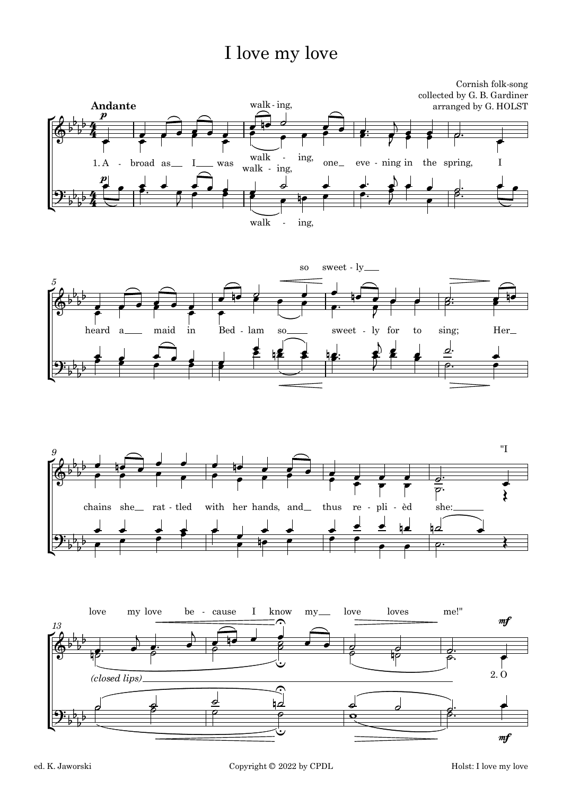## I love my love







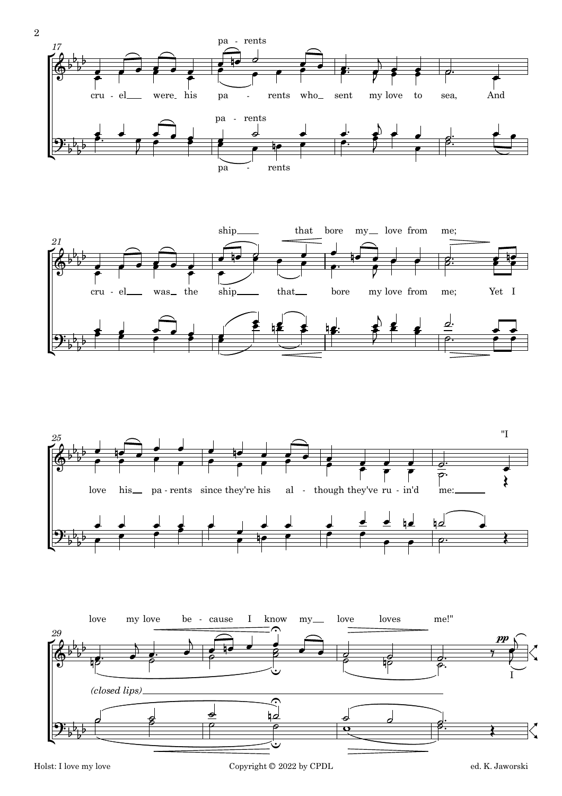





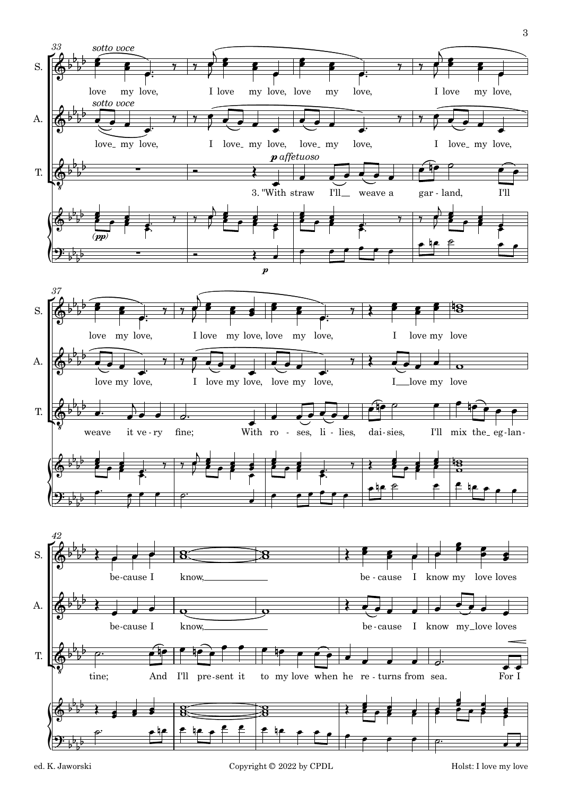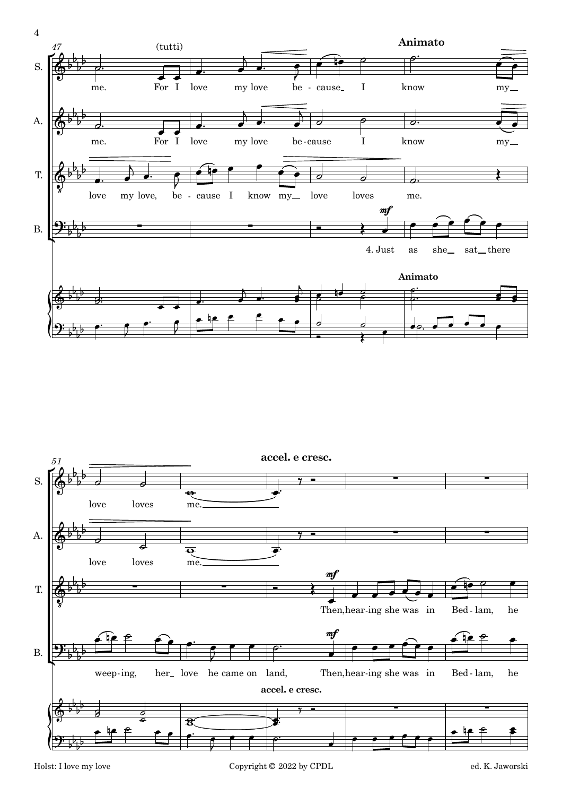

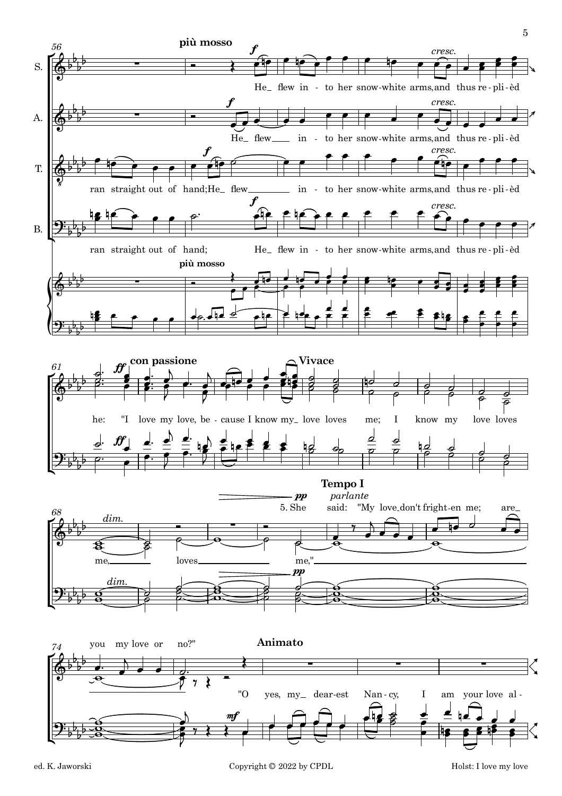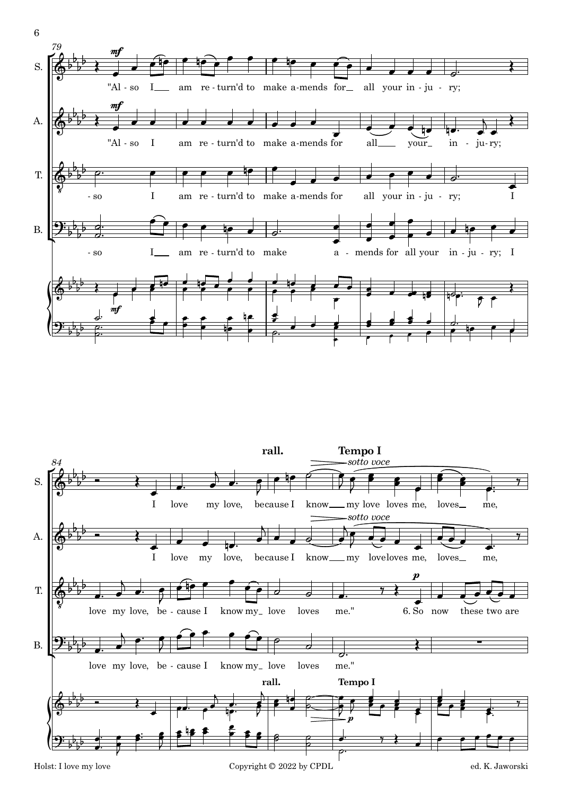



6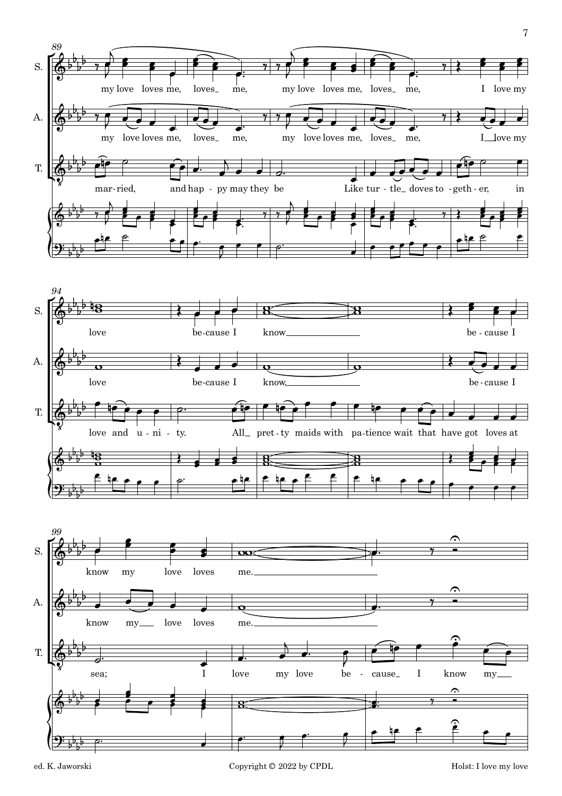